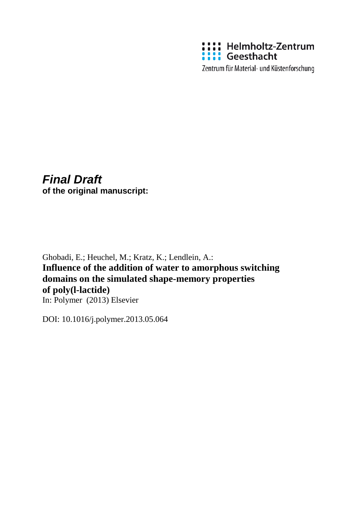

Zentrum für Material- und Küstenforschung

# *Final Draft*

**of the original manuscript:**

Ghobadi, E.; Heuchel, M.; Kratz, K.; Lendlein, A.: **Influence of the addition of water to amorphous switching domains on the simulated shape-memory properties of poly(l-lactide)** In: Polymer (2013) Elsevier

DOI: 10.1016/j.polymer.2013.05.064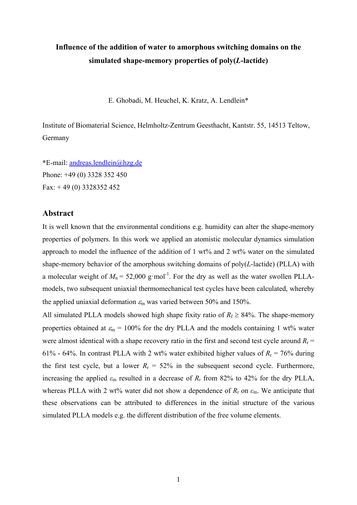# **Influence of the addition of water to amorphous switching domains on the simulated shape-memory properties of poly(***L***-lactide)**

E. Ghobadi, M. Heuchel, K. Kratz, A. Lendlein\*

Institute of Biomaterial Science, Helmholtz-Zentrum Geesthacht, Kantstr. 55, 14513 Teltow, Germany

**\***E-mail: andreas.lendlein@hzg.de Phone: +49 (0) 3328 352 450 Fax: + 49 (0) 3328352 452

# **Abstract**

It is well known that the environmental conditions e.g. humidity can alter the shape-memory properties of polymers. In this work we applied an atomistic molecular dynamics simulation approach to model the influence of the addition of 1 wt% and 2 wt% water on the simulated shape-memory behavior of the amorphous switching domains of poly(*L*-lactide) (PLLA) with a molecular weight of  $M_n = 52,000$  g·mol<sup>-1</sup>. For the dry as well as the water swollen PLLAmodels, two subsequent uniaxial thermomechanical test cycles have been calculated, whereby the applied uniaxial deformation  $\varepsilon_m$  was varied between 50% and 150%.

All simulated PLLA models showed high shape fixity ratio of  $R_f \geq 84\%$ . The shape-memory properties obtained at  $\varepsilon_m = 100\%$  for the dry PLLA and the models containing 1 wt% water were almost identical with a shape recovery ratio in the first and second test cycle around  $R_r$  = 61% - 64%. In contrast PLLA with 2 wt% water exhibited higher values of  $R_r = 76\%$  during the first test cycle, but a lower  $R_r = 52\%$  in the subsequent second cycle. Furthermore, increasing the applied  $\varepsilon_m$  resulted in a decrease of  $R_r$  from 82% to 42% for the dry PLLA, whereas PLLA with 2 wt% water did not show a dependence of  $R_r$  on  $\varepsilon_m$ . We anticipate that these observations can be attributed to differences in the initial structure of the various simulated PLLA models e.g. the different distribution of the free volume elements.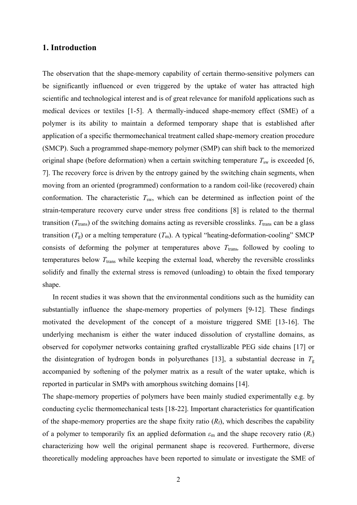# **1. Introduction**

The observation that the shape-memory capability of certain thermo-sensitive polymers can be significantly influenced or even triggered by the uptake of water has attracted high scientific and technological interest and is of great relevance for manifold applications such as medical devices or textiles [1-5]. A thermally-induced shape-memory effect (SME) of a polymer is its ability to maintain a deformed temporary shape that is established after application of a specific thermomechanical treatment called shape-memory creation procedure (SMCP). Such a programmed shape-memory polymer (SMP) can shift back to the memorized original shape (before deformation) when a certain switching temperature  $T_{sw}$  is exceeded [6, 7]. The recovery force is driven by the entropy gained by the switching chain segments, when moving from an oriented (programmed) conformation to a random coil-like (recovered) chain conformation. The characteristic  $T_{sw}$ , which can be determined as inflection point of the strain-temperature recovery curve under stress free conditions [8] is related to the thermal transition ( $T_{trans}$ ) of the switching domains acting as reversible crosslinks.  $T_{trans}$  can be a glass transition  $(T_g)$  or a melting temperature  $(T_m)$ . A typical "heating-deformation-cooling" SMCP consists of deforming the polymer at temperatures above  $T_{trans}$ , followed by cooling to temperatures below  $T_{trans}$  while keeping the external load, whereby the reversible crosslinks solidify and finally the external stress is removed (unloading) to obtain the fixed temporary shape.

In recent studies it was shown that the environmental conditions such as the humidity can substantially influence the shape-memory properties of polymers [9-12]. These findings motivated the development of the concept of a moisture triggered SME [13-16]. The underlying mechanism is either the water induced dissolution of crystalline domains, as observed for copolymer networks containing grafted crystallizable PEG side chains [17] or the disintegration of hydrogen bonds in polyurethanes [13], a substantial decrease in  $T_g$ accompanied by softening of the polymer matrix as a result of the water uptake, which is reported in particular in SMPs with amorphous switching domains [14].

The shape-memory properties of polymers have been mainly studied experimentally e.g. by conducting cyclic thermomechanical tests [18-22]. Important characteristics for quantification of the shape-memory properties are the shape fixity ratio  $(R_f)$ , which describes the capability of a polymer to temporarily fix an applied deformation *ε*m and the shape recovery ratio (*R*r) characterizing how well the original permanent shape is recovered. Furthermore, diverse theoretically modeling approaches have been reported to simulate or investigate the SME of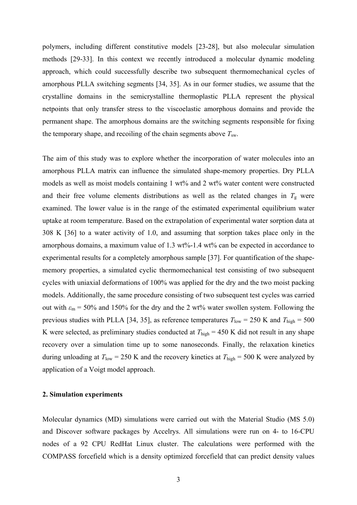polymers, including different constitutive models [23-28], but also molecular simulation methods [29-33]. In this context we recently introduced a molecular dynamic modeling approach, which could successfully describe two subsequent thermomechanical cycles of amorphous PLLA switching segments [34, 35]. As in our former studies, we assume that the crystalline domains in the semicrystalline thermoplastic PLLA represent the physical netpoints that only transfer stress to the viscoelastic amorphous domains and provide the permanent shape. The amorphous domains are the switching segments responsible for fixing the temporary shape, and recoiling of the chain segments above  $T_{\text{sw}}$ .

The aim of this study was to explore whether the incorporation of water molecules into an amorphous PLLA matrix can influence the simulated shape-memory properties. Dry PLLA models as well as moist models containing 1 wt% and 2 wt% water content were constructed and their free volume elements distributions as well as the related changes in  $T_g$  were examined. The lower value is in the range of the estimated experimental equilibrium water uptake at room temperature. Based on the extrapolation of experimental water sorption data at 308 K [36] to a water activity of 1.0, and assuming that sorption takes place only in the amorphous domains, a maximum value of 1.3 wt%-1.4 wt% can be expected in accordance to experimental results for a completely amorphous sample [37]. For quantification of the shapememory properties, a simulated cyclic thermomechanical test consisting of two subsequent cycles with uniaxial deformations of 100% was applied for the dry and the two moist packing models. Additionally, the same procedure consisting of two subsequent test cycles was carried out with  $\varepsilon_m = 50\%$  and 150% for the dry and the 2 wt% water swollen system. Following the previous studies with PLLA [34, 35], as reference temperatures  $T_{low} = 250$  K and  $T_{high} = 500$ K were selected, as preliminary studies conducted at  $T_{\text{high}} = 450$  K did not result in any shape recovery over a simulation time up to some nanoseconds. Finally, the relaxation kinetics during unloading at  $T_{low}$  = 250 K and the recovery kinetics at  $T_{high}$  = 500 K were analyzed by application of a Voigt model approach.

#### **2. Simulation experiments**

Molecular dynamics (MD) simulations were carried out with the Material Studio (MS 5.0) and Discover software packages by Accelrys. All simulations were run on 4- to 16-CPU nodes of a 92 CPU RedHat Linux cluster. The calculations were performed with the COMPASS forcefield which is a density optimized forcefield that can predict density values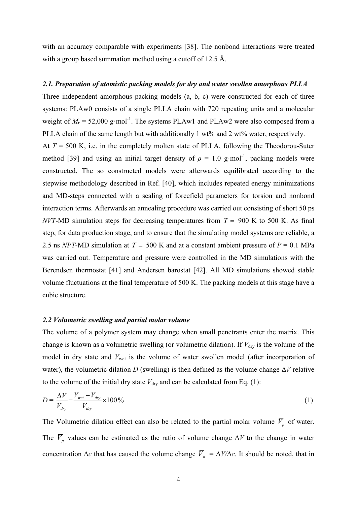with an accuracy comparable with experiments [38]. The nonbond interactions were treated with a group based summation method using a cutoff of 12.5 Å.

#### *2.1. Preparation of atomistic packing models for dry and water swollen amorphous PLLA*

Three independent amorphous packing models (a, b, c) were constructed for each of three systems: PLAw0 consists of a single PLLA chain with 720 repeating units and a molecular weight of  $M_n = 52,000$  g·mol<sup>-1</sup>. The systems PLAw1 and PLAw2 were also composed from a PLLA chain of the same length but with additionally 1 wt% and 2 wt% water, respectively. At  $T = 500$  K, i.e. in the completely molten state of PLLA, following the Theodorou-Suter method [39] and using an initial target density of  $\rho = 1.0 \text{ g/mol}^{-1}$ , packing models were constructed. The so constructed models were afterwards equilibrated according to the stepwise methodology described in Ref. [40], which includes repeated energy minimizations and MD-steps connected with a scaling of forcefield parameters for torsion and nonbond interaction terms. Afterwards an annealing procedure was carried out consisting of short 50 ps *NVT*-MD simulation steps for decreasing temperatures from  $T = 900$  K to 500 K. As final step, for data production stage, and to ensure that the simulating model systems are reliable, a 2.5 ns *NPT*-MD simulation at  $T = 500$  K and at a constant ambient pressure of  $P = 0.1$  MPa was carried out. Temperature and pressure were controlled in the MD simulations with the Berendsen thermostat [41] and Andersen barostat [42]. All MD simulations showed stable volume fluctuations at the final temperature of 500 K. The packing models at this stage have a cubic structure.

#### *2.2 Volumetric swelling and partial molar volume*

The volume of a polymer system may change when small penetrants enter the matrix. This change is known as a volumetric swelling (or volumetric dilation). If  $V_{\text{dry}}$  is the volume of the model in dry state and  $V_{\text{wet}}$  is the volume of water swollen model (after incorporation of water), the volumetric dilation *D* (swelling) is then defined as the volume change  $\Delta V$  relative to the volume of the initial dry state  $V_{\text{dry}}$  and can be calculated from Eq. (1):

$$
D = \frac{\Delta V}{V_{dry}} = \frac{V_{wet} - V_{dry}}{V_{dry}} \times 100\% \tag{1}
$$

The Volumetric dilation effect can also be related to the partial molar volume  $\overline{V}_p$  of water. The  $\overline{V}_p$  values can be estimated as the ratio of volume change  $\Delta V$  to the change in water concentration  $\Delta c$  that has caused the volume change  $\overline{V}_p = \Delta V / \Delta c$ . It should be noted, that in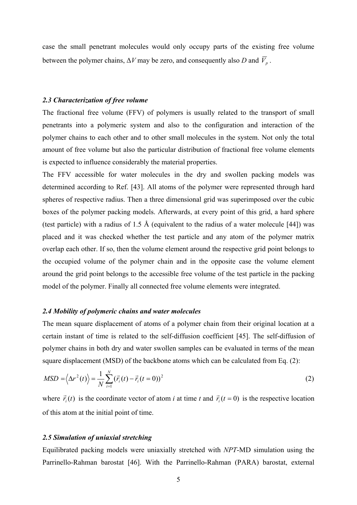case the small penetrant molecules would only occupy parts of the existing free volume between the polymer chains,  $\Delta V$  may be zero, and consequently also *D* and  $\overline{V}_n$ .

#### *2.3 Characterization of free volume*

The fractional free volume (FFV) of polymers is usually related to the transport of small penetrants into a polymeric system and also to the configuration and interaction of the polymer chains to each other and to other small molecules in the system. Not only the total amount of free volume but also the particular distribution of fractional free volume elements is expected to influence considerably the material properties.

The FFV accessible for water molecules in the dry and swollen packing models was determined according to Ref. [43]. All atoms of the polymer were represented through hard spheres of respective radius. Then a three dimensional grid was superimposed over the cubic boxes of the polymer packing models. Afterwards, at every point of this grid, a hard sphere (test particle) with a radius of 1.5 Å (equivalent to the radius of a water molecule [44]) was placed and it was checked whether the test particle and any atom of the polymer matrix overlap each other. If so, then the volume element around the respective grid point belongs to the occupied volume of the polymer chain and in the opposite case the volume element around the grid point belongs to the accessible free volume of the test particle in the packing model of the polymer. Finally all connected free volume elements were integrated.

#### *2.4 Mobility of polymeric chains and water molecules*

The mean square displacement of atoms of a polymer chain from their original location at a certain instant of time is related to the self-diffusion coefficient [45]. The self-diffusion of polymer chains in both dry and water swollen samples can be evaluated in terms of the mean square displacement (MSD) of the backbone atoms which can be calculated from Eq. (2):

$$
MSD = \left\langle \Delta r^2(t) \right\rangle = \frac{1}{N} \sum_{i=1}^{N} \left( \vec{r}_i(t) - \vec{r}_i(t=0) \right)^2 \tag{2}
$$

where  $\vec{r}_i(t)$  is the coordinate vector of atom *i* at time *t* and  $\vec{r}_i(t=0)$  is the respective location of this atom at the initial point of time.

#### *2.5 Simulation of uniaxial stretching*

Equilibrated packing models were uniaxially stretched with *NPT*-MD simulation using the Parrinello-Rahman barostat [46]. With the Parrinello-Rahman (PARA) barostat, external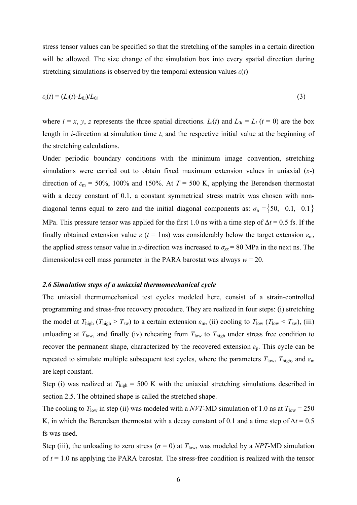stress tensor values can be specified so that the stretching of the samples in a certain direction will be allowed. The size change of the simulation box into every spatial direction during stretching simulations is observed by the temporal extension values  $\varepsilon(t)$ 

$$
\varepsilon_i(t) = (L_i(t) - L_{0i})/L_{0i} \tag{3}
$$

where  $i = x$ ,  $y$ ,  $z$  represents the three spatial directions.  $L_i(t)$  and  $L_{0i} = L_i$  ( $t = 0$ ) are the box length in *i*-direction at simulation time *t*, and the respective initial value at the beginning of the stretching calculations.

Under periodic boundary conditions with the minimum image convention, stretching simulations were carried out to obtain fixed maximum extension values in uniaxial (*x*-) direction of  $\varepsilon_m = 50\%$ , 100% and 150%. At  $T = 500$  K, applying the Berendsen thermostat with a decay constant of 0.1, a constant symmetrical stress matrix was chosen with nondiagonal terms equal to zero and the initial diagonal components as:  $\sigma_{ii} = \{50, -0.1, -0.1\}$ MPa. This pressure tensor was applied for the first 1.0 ns with a time step of  $\Delta t = 0.5$  fs. If the finally obtained extension value  $\varepsilon$  ( $t = 1$ ns) was considerably below the target extension  $\varepsilon_{\rm m}$ , the applied stress tensor value in *x*-direction was increased to  $\sigma_{xx}$  = 80 MPa in the next ns. The dimensionless cell mass parameter in the PARA barostat was always  $w = 20$ .

#### *2.6 Simulation steps of a uniaxial thermomechanical cycle*

The uniaxial thermomechanical test cycles modeled here, consist of a strain-controlled programming and stress-free recovery procedure. They are realized in four steps: (i) stretching the model at  $T_{\text{high}}$  ( $T_{\text{high}} > T_{\text{sw}}$ ) to a certain extension  $\varepsilon_{\text{m}}$ , (ii) cooling to  $T_{\text{low}}$  ( $T_{\text{low}} < T_{\text{sw}}$ ), (iii) unloading at  $T_{\text{low}}$ , and finally (iv) reheating from  $T_{\text{low}}$  to  $T_{\text{high}}$  under stress free condition to recover the permanent shape, characterized by the recovered extension  $\varepsilon_p$ . This cycle can be repeated to simulate multiple subsequent test cycles, where the parameters  $T_{low}$ ,  $T_{high}$ , and  $\varepsilon_m$ are kept constant.

Step (i) was realized at  $T_{\text{high}} = 500$  K with the uniaxial stretching simulations described in section 2.5. The obtained shape is called the stretched shape.

The cooling to  $T_{\text{low}}$  in step (ii) was modeled with a *NVT*-MD simulation of 1.0 ns at  $T_{\text{low}} = 250$ K, in which the Berendsen thermostat with a decay constant of 0.1 and a time step of  $\Delta t = 0.5$ fs was used.

Step (iii), the unloading to zero stress ( $\sigma = 0$ ) at  $T_{low}$ , was modeled by a *NPT*-MD simulation of  $t = 1.0$  ns applying the PARA barostat. The stress-free condition is realized with the tensor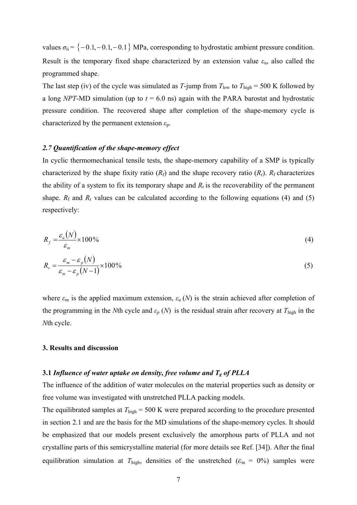values  $\sigma_{ii} = \{-0.1, -0.1, -0.1\}$  MPa, corresponding to hydrostatic ambient pressure condition. Result is the temporary fixed shape characterized by an extension value *ε*u, also called the programmed shape.

The last step (iv) of the cycle was simulated as *T*-jump from  $T_{low}$  to  $T_{high} = 500$  K followed by a long *NPT*-MD simulation (up to  $t = 6.0$  ns) again with the PARA barostat and hydrostatic pressure condition. The recovered shape after completion of the shape-memory cycle is characterized by the permanent extension *ε*p.

#### *2.7 Quantification of the shape-memory effect*

In cyclic thermomechanical tensile tests, the shape-memory capability of a SMP is typically characterized by the shape fixity ratio  $(R_f)$  and the shape recovery ratio  $(R_f)$ .  $R_f$  characterizes the ability of a system to fix its temporary shape and  $R_r$  is the recoverability of the permanent shape.  $R_f$  and  $R_r$  values can be calculated according to the following equations (4) and (5) respectively:

$$
R_f = \frac{\varepsilon_u(N)}{\varepsilon_m} \times 100\%
$$
 (4)

$$
R_r = \frac{\varepsilon_m - \varepsilon_p(N)}{\varepsilon_m - \varepsilon_p(N-1)} \times 100\%
$$
\n(5)

where  $\varepsilon_m$  is the applied maximum extension,  $\varepsilon_u(N)$  is the strain achieved after completion of the programming in the *N*th cycle and  $\varepsilon_p$  (*N*) is the residual strain after recovery at  $T_{\text{high}}$  in the *N*th cycle.

#### **3. Results and discussion**

#### **3.1** *Influence of water uptake on density, free volume and Tg of PLLA*

The influence of the addition of water molecules on the material properties such as density or free volume was investigated with unstretched PLLA packing models.

The equilibrated samples at  $T_{\text{high}} = 500$  K were prepared according to the procedure presented in section 2.1 and are the basis for the MD simulations of the shape-memory cycles. It should be emphasized that our models present exclusively the amorphous parts of PLLA and not crystalline parts of this semicrystalline material (for more details see Ref. [34]). After the final equilibration simulation at  $T_{\text{high}}$ , densities of the unstretched ( $\varepsilon_{\text{m}} = 0\%$ ) samples were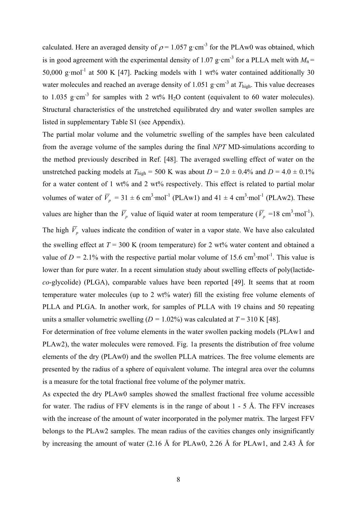calculated. Here an averaged density of  $\rho = 1.057$  g·cm<sup>-3</sup> for the PLAw0 was obtained, which is in good agreement with the experimental density of 1.07 g·cm<sup>-3</sup> for a PLLA melt with  $M_n =$ 50,000 g·mol<sup>-1</sup> at 500 K [47]. Packing models with 1 wt% water contained additionally 30 water molecules and reached an average density of 1.051 g·cm<sup>-3</sup> at  $T_{\text{high}}$ . This value decreases to 1.035 g·cm<sup>-3</sup> for samples with 2 wt%  $H_2O$  content (equivalent to 60 water molecules). Structural characteristics of the unstretched equilibrated dry and water swollen samples are listed in supplementary Table S1 (see Appendix).

The partial molar volume and the volumetric swelling of the samples have been calculated from the average volume of the samples during the final *NPT* MD-simulations according to the method previously described in Ref. [48]. The averaged swelling effect of water on the unstretched packing models at  $T_{\text{high}} = 500 \text{ K}$  was about  $D = 2.0 \pm 0.4\%$  and  $D = 4.0 \pm 0.1\%$ for a water content of 1 wt% and 2 wt% respectively. This effect is related to partial molar volumes of water of  $\overline{V}_p = 31 \pm 6$  cm<sup>3</sup>·mol<sup>-1</sup> (PLAw1) and 41  $\pm$  4 cm<sup>3</sup>·mol<sup>-1</sup> (PLAw2). These values are higher than the  $\overline{V}_p$  value of liquid water at room temperature ( $\overline{V}_p = 18 \text{ cm}^3 \text{·mol}^{-1}$ ). The high  $\overline{V}_p$  values indicate the condition of water in a vapor state. We have also calculated the swelling effect at  $T = 300$  K (room temperature) for 2 wt% water content and obtained a value of  $D = 2.1\%$  with the respective partial molar volume of 15.6 cm<sup>3</sup>·mol<sup>-1</sup>. This value is lower than for pure water. In a recent simulation study about swelling effects of poly(lactide*co*-glycolide) (PLGA), comparable values have been reported [49]. It seems that at room temperature water molecules (up to 2 wt% water) fill the existing free volume elements of PLLA and PLGA. In another work, for samples of PLLA with 19 chains and 50 repeating units a smaller volumetric swelling  $(D = 1.02\%)$  was calculated at  $T = 310$  K [48].

For determination of free volume elements in the water swollen packing models (PLAw1 and PLAw2), the water molecules were removed. Fig. 1a presents the distribution of free volume elements of the dry (PLAw0) and the swollen PLLA matrices. The free volume elements are presented by the radius of a sphere of equivalent volume. The integral area over the columns is a measure for the total fractional free volume of the polymer matrix.

As expected the dry PLAw0 samples showed the smallest fractional free volume accessible for water. The radius of FFV elements is in the range of about  $1 - 5$  Å. The FFV increases with the increase of the amount of water incorporated in the polymer matrix. The largest FFV belongs to the PLAw2 samples. The mean radius of the cavities changes only insignificantly by increasing the amount of water (2.16 Å for PLAw0, 2.26 Å for PLAw1, and 2.43 Å for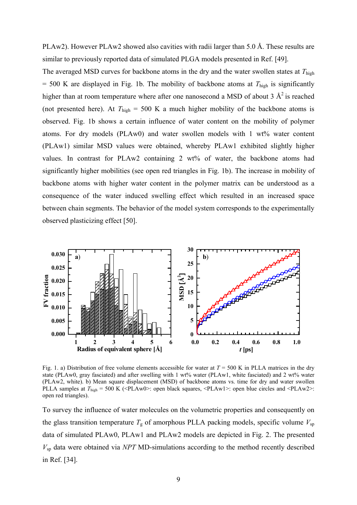PLAw2). However PLAw2 showed also cavities with radii larger than 5.0 Å. These results are similar to previously reported data of simulated PLGA models presented in Ref. [49].

The averaged MSD curves for backbone atoms in the dry and the water swollen states at *T*high  $= 500$  K are displayed in Fig. 1b. The mobility of backbone atoms at  $T_{\text{high}}$  is significantly higher than at room temperature where after one nanosecond a MSD of about 3  $\mathring{A}^2$  is reached (not presented here). At  $T_{\text{high}} = 500 \text{ K}$  a much higher mobility of the backbone atoms is observed. Fig. 1b shows a certain influence of water content on the mobility of polymer atoms. For dry models (PLAw0) and water swollen models with 1 wt% water content (PLAw1) similar MSD values were obtained, whereby PLAw1 exhibited slightly higher values. In contrast for PLAw2 containing 2 wt% of water, the backbone atoms had significantly higher mobilities (see open red triangles in Fig. 1b). The increase in mobility of backbone atoms with higher water content in the polymer matrix can be understood as a consequence of the water induced swelling effect which resulted in an increased space between chain segments. The behavior of the model system corresponds to the experimentally observed plasticizing effect [50].



Fig. 1. a) Distribution of free volume elements accessible for water at  $T = 500$  K in PLLA matrices in the dry state (PLAw0, gray fasciated) and after swelling with 1 wt% water (PLAw1, white fasciated) and 2 wt% water (PLAw2, white). b) Mean square displacement (MSD) of backbone atoms vs. time for dry and water swollen PLLA samples at *T*high = 500 K (<PLAw0>: open black squares, <PLAw1>: open blue circles and <PLAw2>: open red triangles).

To survey the influence of water molecules on the volumetric properties and consequently on the glass transition temperature  $T_g$  of amorphous PLLA packing models, specific volume  $V_{sp}$ data of simulated PLAw0, PLAw1 and PLAw2 models are depicted in Fig. 2. The presented *V*sp data were obtained via *NPT* MD-simulations according to the method recently described in Ref. [34].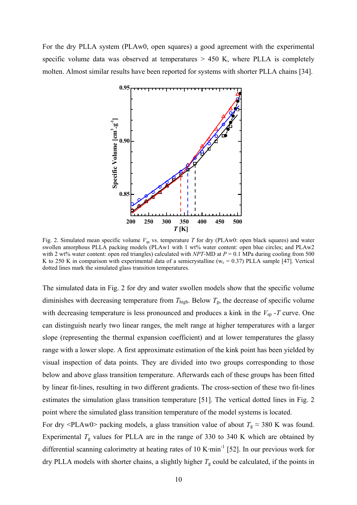For the dry PLLA system (PLAw0, open squares) a good agreement with the experimental specific volume data was observed at temperatures  $> 450$  K, where PLLA is completely molten. Almost similar results have been reported for systems with shorter PLLA chains [34].



Fig. 2. Simulated mean specific volume  $V_{sp}$  vs. temperature T for dry (PLAw0: open black squares) and water swollen amorphous PLLA packing models (PLAw1 with 1 wt% water content: open blue circles; and PLAw2 with 2 wt% water content: open red triangles) calculated with *NPT*-MD at  $P = 0.1$  MPa during cooling from 500 K to 250 K in comparison with experimental data of a semicrystalline ( $w_c = 0.37$ ) PLLA sample [47]. Vertical dotted lines mark the simulated glass transition temperatures.

The simulated data in Fig. 2 for dry and water swollen models show that the specific volume diminishes with decreasing temperature from  $T_{\text{high}}$ . Below  $T_{g}$ , the decrease of specific volume with decreasing temperature is less pronounced and produces a kink in the  $V_{\text{sp}}$ -*T* curve. One can distinguish nearly two linear ranges, the melt range at higher temperatures with a larger slope (representing the thermal expansion coefficient) and at lower temperatures the glassy range with a lower slope. A first approximate estimation of the kink point has been yielded by visual inspection of data points. They are divided into two groups corresponding to those below and above glass transition temperature. Afterwards each of these groups has been fitted by linear fit-lines, resulting in two different gradients. The cross-section of these two fit-lines estimates the simulation glass transition temperature [51]. The vertical dotted lines in Fig. 2 point where the simulated glass transition temperature of the model systems is located.

For dry <PLAw0> packing models, a glass transition value of about  $T_g \approx 380$  K was found. Experimental  $T<sub>g</sub>$  values for PLLA are in the range of 330 to 340 K which are obtained by differential scanning calorimetry at heating rates of 10 K·min<sup>-1</sup> [52]. In our previous work for dry PLLA models with shorter chains, a slightly higher  $T<sub>g</sub>$  could be calculated, if the points in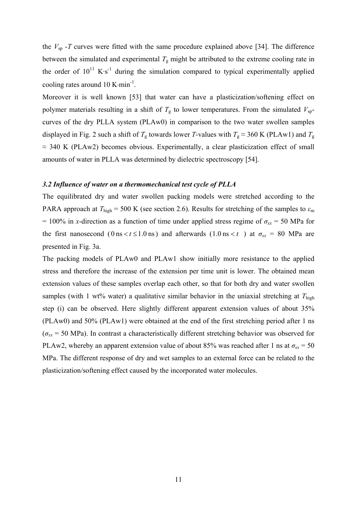the  $V_{sp}$  -*T* curves were fitted with the same procedure explained above [34]. The difference between the simulated and experimental  $T<sub>g</sub>$  might be attributed to the extreme cooling rate in the order of  $10^{11}$  K·s<sup>-1</sup> during the simulation compared to typical experimentally applied cooling rates around  $10 \text{ K-min}^{-1}$ .

Moreover it is well known [53] that water can have a plasticization/softening effect on polymer materials resulting in a shift of  $T<sub>g</sub>$  to lower temperatures. From the simulated  $V<sub>sp</sub>$ curves of the dry PLLA system (PLAw0) in comparison to the two water swollen samples displayed in Fig. 2 such a shift of  $T_g$  towards lower *T*-values with  $T_g \approx 360$  K (PLAw1) and  $T_g$  $\approx$  340 K (PLAw2) becomes obvious. Experimentally, a clear plasticization effect of small amounts of water in PLLA was determined by dielectric spectroscopy [54].

#### *3.2 Influence of water on a thermomechanical test cycle of PLLA*

The equilibrated dry and water swollen packing models were stretched according to the PARA approach at  $T_{\text{high}} = 500$  K (see section 2.6). Results for stretching of the samples to  $\varepsilon_{\text{m}}$ = 100% in *x*-direction as a function of time under applied stress regime of  $\sigma_{xx}$  = 50 MPa for the first nanosecond ( $0 \text{ ns} < t \leq 1.0 \text{ ns}$ ) and afterwards ( $1.0 \text{ ns} < t$ ) at  $\sigma_{xx} = 80 \text{ MPa}$  are presented in Fig. 3a.

The packing models of PLAw0 and PLAw1 show initially more resistance to the applied stress and therefore the increase of the extension per time unit is lower. The obtained mean extension values of these samples overlap each other, so that for both dry and water swollen samples (with 1 wt% water) a qualitative similar behavior in the uniaxial stretching at  $T_{\text{high}}$ step (i) can be observed. Here slightly different apparent extension values of about 35% (PLAw0) and 50% (PLAw1) were obtained at the end of the first stretching period after 1 ns  $(\sigma_{xx} = 50 \text{ MPa})$ . In contrast a characteristically different stretching behavior was observed for PLAw2, whereby an apparent extension value of about 85% was reached after 1 ns at  $\sigma_{xx} = 50$ MPa. The different response of dry and wet samples to an external force can be related to the plasticization/softening effect caused by the incorporated water molecules.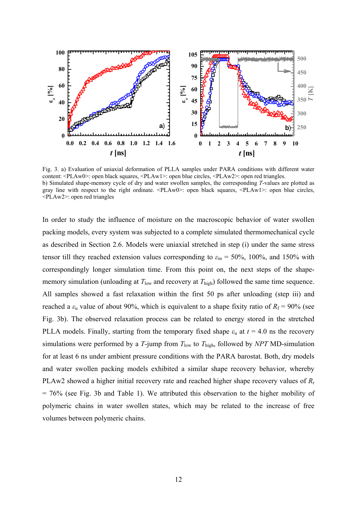

Fig. 3. a) Evaluation of uniaxial deformation of PLLA samples under PARA conditions with different water content: <PLAw0>: open black squares, <PLAw1>: open blue circles, <PLAw2>: open red triangles. b) Simulated shape-memory cycle of dry and water swollen samples, the corresponding *T*-values are plotted as gray line with respect to the right ordinate. <PLAw0>: open black squares, <PLAw1>: open blue circles, <PLAw2>: open red triangles

In order to study the influence of moisture on the macroscopic behavior of water swollen packing models, every system was subjected to a complete simulated thermomechanical cycle as described in Section 2.6. Models were uniaxial stretched in step (i) under the same stress tensor till they reached extension values corresponding to  $\varepsilon_m = 50\%$ , 100%, and 150% with correspondingly longer simulation time. From this point on, the next steps of the shapememory simulation (unloading at  $T_{low}$  and recovery at  $T_{high}$ ) followed the same time sequence. All samples showed a fast relaxation within the first 50 ps after unloading (step iii) and reached a  $\varepsilon$ <sub>u</sub> value of about 90%, which is equivalent to a shape fixity ratio of  $R_f = 90\%$  (see Fig. 3b). The observed relaxation process can be related to energy stored in the stretched PLLA models. Finally, starting from the temporary fixed shape  $\varepsilon$ <sub>u</sub> at  $t = 4.0$  ns the recovery simulations were performed by a  $T$ -jump from  $T_{low}$  to  $T_{high}$ , followed by  $NPT$  MD-simulation for at least 6 ns under ambient pressure conditions with the PARA barostat. Both, dry models and water swollen packing models exhibited a similar shape recovery behavior, whereby PLAw2 showed a higher initial recovery rate and reached higher shape recovery values of *R*<sup>r</sup> = 76% (see Fig. 3b and Table 1). We attributed this observation to the higher mobility of polymeric chains in water swollen states, which may be related to the increase of free volumes between polymeric chains.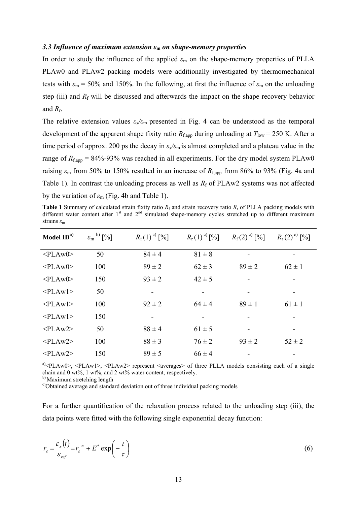#### *3.3 Influence of maximum extension ε***<sup>m</sup>** *on shape-memory properties*

In order to study the influence of the applied  $\varepsilon_m$  on the shape-memory properties of PLLA PLAw0 and PLAw2 packing models were additionally investigated by thermomechanical tests with  $\varepsilon_m = 50\%$  and 150%. In the following, at first the influence of  $\varepsilon_m$  on the unloading step (iii) and  $R_f$  will be discussed and afterwards the impact on the shape recovery behavior and *R*r.

The relative extension values  $\varepsilon_{x}/\varepsilon_{m}$  presented in Fig. 4 can be understood as the temporal development of the apparent shape fixity ratio  $R_{f,app}$  during unloading at  $T_{low} = 250$  K. After a time period of approx. 200 ps the decay in *εx/ε*m is almost completed and a plateau value in the range of  $R_{f,app} = 84\% - 93\%$  was reached in all experiments. For the dry model system PLAw0 raising  $\varepsilon_m$  from 50% to 150% resulted in an increase of  $R_{f,app}$  from 86% to 93% (Fig. 4a and Table 1). In contrast the unloading process as well as  $R_f$  of PLAw2 systems was not affected by the variation of  $\varepsilon_{\rm m}$  (Fig. 4b and Table 1).

**Table 1** Summary of calculated strain fixity ratio  $R_f$  and strain recovery ratio  $R_f$  of PLLA packing models with different water content after  $1<sup>st</sup>$  and  $2<sup>nd</sup>$  simulated shape-memory cycles stretched up to different maximum strains *ε*<sup>m</sup>

| $\varepsilon_{\rm m}$ <sup>b)</sup> [%] | $R_{\rm f}(1)^{\rm c)}$ [%] | $R_{\rm r}(1)^{\rm c})$ [%] | $R_{\rm f}(2)^{\rm c)}$ [%]  | $R_{r}(2)^{c}$ [%] |
|-----------------------------------------|-----------------------------|-----------------------------|------------------------------|--------------------|
| 50                                      | $84 \pm 4$                  | $81 \pm 8$                  | -                            |                    |
| 100                                     | $89 \pm 2$                  | $62 \pm 3$                  | $89 \pm 2$                   | $62 \pm 1$         |
| 150                                     | $93 \pm 2$                  | $42 \pm 5$                  | $\overline{\phantom{a}}$     |                    |
| 50                                      | -                           |                             | $\qquad \qquad \blacksquare$ |                    |
| 100                                     | $92 \pm 2$                  | $64 \pm 4$                  | $89 \pm 1$                   | $61 \pm 1$         |
| 150                                     |                             |                             |                              |                    |
| 50                                      | $88 \pm 4$                  | $61 \pm 5$                  | $\qquad \qquad \blacksquare$ |                    |
| 100                                     | $88 \pm 3$                  | $76 \pm 2$                  | $93 \pm 2$                   | $52 \pm 2$         |
| 150                                     | $89 \pm 5$                  | $66 \pm 4$                  |                              |                    |
|                                         |                             |                             |                              |                    |

a)<PLAw0>, <PLAw1>, <PLAw2> represent <averages> of three PLLA models consisting each of a single chain and 0 wt%, 1 wt%, and 2 wt% water content, respectively.

b) Maximum stretching length

<sup>c)</sup>Obtained average and standard deviation out of three individual packing models

For a further quantification of the relaxation process related to the unloading step (iii), the data points were fitted with the following single exponential decay function:

$$
r_{\varepsilon} = \frac{\varepsilon_{x}(t)}{\varepsilon_{ref}} = r_{\varepsilon}^{*} + E^{*} \exp\left(-\frac{t}{\tau}\right)
$$
 (6)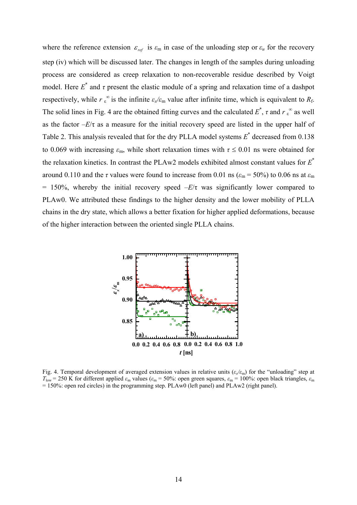where the reference extension  $\varepsilon_{ref}$  is  $\varepsilon_{\rm m}$  in case of the unloading step or  $\varepsilon_u$  for the recovery step (iv) which will be discussed later. The changes in length of the samples during unloading process are considered as creep relaxation to non-recoverable residue described by Voigt model. Here  $E^*$  and  $\tau$  present the elastic module of a spring and relaxation time of a dashpot respectively, while  $r \int_{\epsilon}^{\infty}$  is the infinite  $\epsilon_{x}/\epsilon_{m}$  value after infinite time, which is equivalent to  $R_{f}$ . The solid lines in Fig. 4 are the obtained fitting curves and the calculated  $E^*$ ,  $\tau$  and  $r \epsilon^{\infty}$  as well as the factor  $-E/\tau$  as a measure for the initial recovery speed are listed in the upper half of Table 2. This analysis revealed that for the dry PLLA model systems  $E^*$  decreased from 0.138 to 0.069 with increasing  $\varepsilon_m$ , while short relaxation times with  $\tau \leq 0.01$  ns were obtained for the relaxation kinetics. In contrast the PLAw2 models exhibited almost constant values for *E*\* around 0.110 and the *τ* values were found to increase from 0.01 ns ( $\varepsilon_m$  = 50%) to 0.06 ns at  $\varepsilon_m$  $= 150\%$ , whereby the initial recovery speed  $-E/\tau$  was significantly lower compared to PLAw0. We attributed these findings to the higher density and the lower mobility of PLLA chains in the dry state, which allows a better fixation for higher applied deformations, because of the higher interaction between the oriented single PLLA chains.



Fig. 4. Temporal development of averaged extension values in relative units  $(\varepsilon_x/\varepsilon_m)$  for the "unloading" step at  $T_{\text{low}}$  = 250 K for different applied  $\varepsilon_{\text{m}}$  values ( $\varepsilon_{\text{m}}$  = 50%: open green squares,  $\varepsilon_{\text{m}}$  = 100%: open black triangles,  $\varepsilon_{\text{m}}$  $= 150\%$ ; open red circles) in the programming step. PLAw0 (left panel) and PLAw2 (right panel).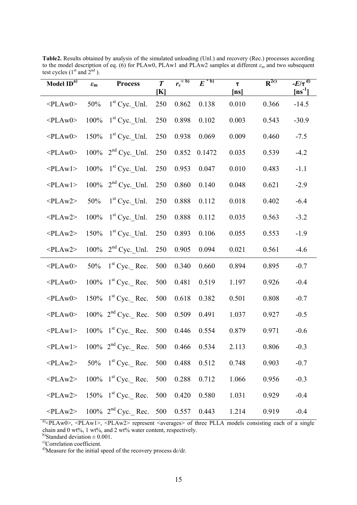| Model ID <sup>a)</sup> | $\varepsilon_{\rm m}$ | <b>Process</b>                                                  | $\boldsymbol{T}$<br>[K] | $r_{\varepsilon}^{\infty}$ <sub>b</sub> | $E^{\pm b)}$ | $\tau$<br>[ns] | $R^{2c)}$ | $-E/\overline{\tau^{d)}}$<br>$[ns^{-1}]$ |
|------------------------|-----------------------|-----------------------------------------------------------------|-------------------------|-----------------------------------------|--------------|----------------|-----------|------------------------------------------|
| $<$ PLAw0>             | 50%                   | $1st$ Cyc. Unl.                                                 | 250                     | 0.862                                   | 0.138        | 0.010          | 0.366     | $-14.5$                                  |
| $<$ PLAw0>             | 100%                  | $1st$ Cyc. Unl.                                                 | 250                     | 0.898                                   | 0.102        | 0.003          | 0.543     | $-30.9$                                  |
| $<$ PLAw0>             | 150%                  | $1st$ Cyc. Unl.                                                 | 250                     | 0.938                                   | 0.069        | 0.009          | 0.460     | $-7.5$                                   |
| $<$ PLAw0>             | $100\%$               | $2nd$ Cyc. Unl.                                                 | 250                     | 0.852                                   | 0.1472       | 0.035          | 0.539     | $-4.2$                                   |
| $<$ PLAwl $>$          | 100%                  | $1st$ Cyc. Unl.                                                 | 250                     | 0.953                                   | 0.047        | 0.010          | 0.483     | $-1.1$                                   |
| $<$ PLAwl>             | 100%                  | $2nd$ Cyc. Unl.                                                 | 250                     | 0.860                                   | 0.140        | 0.048          | 0.621     | $-2.9$                                   |
| $<$ PLAw2>             | 50%                   | $1st$ Cyc. Unl.                                                 | 250                     | 0.888                                   | 0.112        | 0.018          | 0.402     | $-6.4$                                   |
| $<$ PLAw2>             | $100\%$               | $1st$ Cyc. Unl.                                                 | 250                     | 0.888                                   | 0.112        | 0.035          | 0.563     | $-3.2$                                   |
| $<$ PLAw2>             | 150%                  | $1st$ Cyc. Unl.                                                 | 250                     | 0.893                                   | 0.106        | 0.055          | 0.553     | $-1.9$                                   |
| $<$ PLAw2>             | $100\%$               | $2nd$ Cyc._Unl.                                                 | 250                     | 0.905                                   | 0.094        | 0.021          | 0.561     | $-4.6$                                   |
| $<$ PLAw0>             | 50%                   | $1st$ Cyc. Rec.                                                 | 500                     | 0.340                                   | 0.660        | 0.894          | 0.895     | $-0.7$                                   |
| $<$ PLAw0>             | 100%                  | $1st$ Cyc. Rec.                                                 | 500                     | 0.481                                   | 0.519        | 1.197          | 0.926     | $-0.4$                                   |
| $<$ PLAw0>             |                       | 150% $1^{st}$ Cyc. Rec.                                         | 500                     | 0.618                                   | 0.382        | 0.501          | 0.808     | $-0.7$                                   |
| $<$ PLAw0>             |                       | 100% $2nd$ Cyc. Rec.                                            | 500                     | 0.509                                   | 0.491        | 1.037          | 0.927     | $-0.5$                                   |
| $<$ PLAwl>             |                       | 100% $1st Cyc$ . Rec.                                           | 500                     | 0.446                                   | 0.554        | 0.879          | 0.971     | $-0.6$                                   |
|                        |                       | $\langle$ PLAw1> 100% 2 <sup>nd</sup> Cyc. Rec. 500 0.466 0.534 |                         |                                         |              | 2.113          | 0.806     | $-0.3$                                   |
|                        |                       | $\langle$ PLAw2> 50% 1 <sup>st</sup> Cyc. Rec. 500 0.488        |                         |                                         | 0.512        | 0.748          | 0.903     | $-0.7$                                   |
|                        |                       | $\langle$ PLAw2> 100% 1 <sup>st</sup> Cyc. Rec.                 | 500                     | 0.288                                   | 0.712        | 1.066          | 0.956     | $-0.3$                                   |
|                        |                       | $\langle$ PLAw2> 150% 1 <sup>st</sup> Cyc._Rec. 500 0.420 0.580 |                         |                                         |              | 1.031          | 0.929     | $-0.4$                                   |
|                        |                       | $\langle$ PLAw2> 100% 2 <sup>nd</sup> Cyc. Rec. 500 0.557 0.443 |                         |                                         |              | 1.214          | 0.919     | $-0.4$                                   |

**Table2.** Results obtained by analysis of the simulated unloading (Unl.) and recovery (Rec.) processes according to the model description of eq. (6) for PLAw0, PLAw1 and PLAw2 samples at different  $\varepsilon_m$  and two subsequent test cycles  $(1<sup>st</sup>$  and  $2<sup>nd</sup>$ ).

 $\overline{a}$   $\leq$ PLAw0>,  $\leq$ PLAw1>,  $\leq$ PLAw2> represent  $\leq$  averages of three PLLA models consisting each of a single chain and 0 wt%, 1 wt%, and 2 wt% water content, respectively.

b)Standard deviation  $\pm$  0.001.

<sup>c</sup>)Correlation coefficient.

d)Measure for the initial speed of the recovery process d*ε*/d*t*.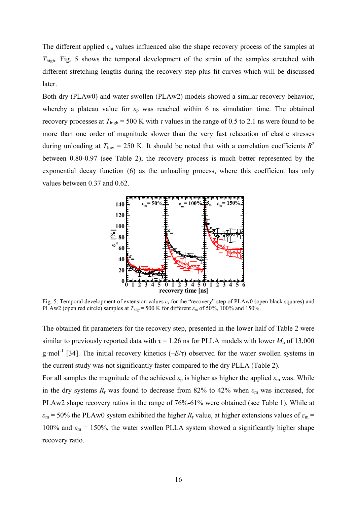The different applied *ε*m values influenced also the shape recovery process of the samples at *T*high. Fig. 5 shows the temporal development of the strain of the samples stretched with different stretching lengths during the recovery step plus fit curves which will be discussed later.

Both dry (PLAw0) and water swollen (PLAw2) models showed a similar recovery behavior, whereby a plateau value for  $\varepsilon_p$  was reached within 6 ns simulation time. The obtained recovery processes at  $T_{\text{high}} = 500$  K with  $\tau$  values in the range of 0.5 to 2.1 ns were found to be more than one order of magnitude slower than the very fast relaxation of elastic stresses during unloading at  $T_{\text{low}} = 250$  K. It should be noted that with a correlation coefficients  $R^2$ between 0.80-0.97 (see Table 2), the recovery process is much better represented by the exponential decay function (6) as the unloading process, where this coefficient has only values between 0.37 and 0.62.



Fig. 5. Temporal development of extension values *ε<sup>x</sup>* for the "recovery" step of PLAw0 (open black squares) and PLAw2 (open red circle) samples at  $T_{\text{high}}$ = 500 K for different  $\varepsilon_{\text{m}}$  of 50%, 100% and 150%.

The obtained fit parameters for the recovery step, presented in the lower half of Table 2 were similar to previously reported data with  $\tau = 1.26$  ns for PLLA models with lower  $M_n$  of 13,000 g·mol-1 [34]. The initial recovery kinetics (–*E*/τ) observed for the water swollen systems in the current study was not significantly faster compared to the dry PLLA (Table 2).

For all samples the magnitude of the achieved  $\varepsilon_p$  is higher as higher the applied  $\varepsilon_m$  was. While in the dry systems  $R_r$  was found to decrease from 82% to 42% when  $\varepsilon_m$  was increased, for PLAw2 shape recovery ratios in the range of 76%-61% were obtained (see Table 1). While at  $\varepsilon_m$  = 50% the PLAw0 system exhibited the higher *R<sub>r</sub>* value, at higher extensions values of  $\varepsilon_m$  = 100% and  $\varepsilon_m$  = 150%, the water swollen PLLA system showed a significantly higher shape recovery ratio.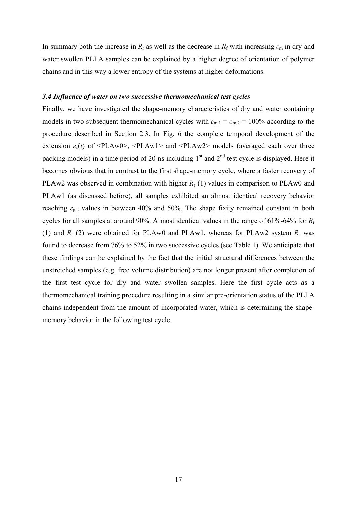In summary both the increase in  $R_r$  as well as the decrease in  $R_f$  with increasing  $\varepsilon_m$  in dry and water swollen PLLA samples can be explained by a higher degree of orientation of polymer chains and in this way a lower entropy of the systems at higher deformations.

#### *3.4 Influence of water on two successive thermomechanical test cycles*

Finally, we have investigated the shape-memory characteristics of dry and water containing models in two subsequent thermomechanical cycles with  $\varepsilon_{m,1} = \varepsilon_{m,2} = 100\%$  according to the procedure described in Section 2.3. In Fig. 6 the complete temporal development of the extension  $\varepsilon_x(t)$  of  $\leq P$ LAw0>,  $\leq P$ LAw1> and  $\leq P$ LAw2> models (averaged each over three packing models) in a time period of 20 ns including  $1<sup>st</sup>$  and  $2<sup>nd</sup>$  test cycle is displayed. Here it becomes obvious that in contrast to the first shape-memory cycle, where a faster recovery of PLAw2 was observed in combination with higher  $R_r$  (1) values in comparison to PLAw0 and PLAw1 (as discussed before), all samples exhibited an almost identical recovery behavior reaching  $\varepsilon_{p,2}$  values in between 40% and 50%. The shape fixity remained constant in both cycles for all samples at around 90%. Almost identical values in the range of 61%-64% for *R*<sup>r</sup> (1) and  $R_r$  (2) were obtained for PLAw0 and PLAw1, whereas for PLAw2 system  $R_r$  was found to decrease from 76% to 52% in two successive cycles (see Table 1). We anticipate that these findings can be explained by the fact that the initial structural differences between the unstretched samples (e.g. free volume distribution) are not longer present after completion of the first test cycle for dry and water swollen samples. Here the first cycle acts as a thermomechanical training procedure resulting in a similar pre-orientation status of the PLLA chains independent from the amount of incorporated water, which is determining the shapememory behavior in the following test cycle.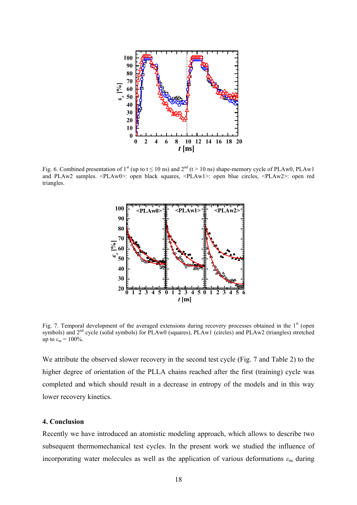

Fig. 6. Combined presentation of 1<sup>st</sup> (up to t  $\leq 10$  ns) and  $2<sup>nd</sup>$  (t > 10 ns) shape-memory cycle of PLAw0, PLAw1 and PLAw2 samples. <PLAw0>: open black squares, <PLAw1>: open blue circles, <PLAw2>: open red triangles.



Fig. 7. Temporal development of the averaged extensions during recovery processes obtained in the  $1<sup>st</sup>$  (open symbols) and 2<sup>nd</sup> cycle (solid symbols) for PLAw0 (squares), PLAw1 (circles) and PLAw2 (triangles) stretched up to  $\varepsilon_m = 100\%$ .

We attribute the observed slower recovery in the second test cycle (Fig. 7 and Table 2) to the higher degree of orientation of the PLLA chains reached after the first (training) cycle was completed and which should result in a decrease in entropy of the models and in this way lower recovery kinetics.

#### **4. Conclusion**

Recently we have introduced an atomistic modeling approach, which allows to describe two subsequent thermomechanical test cycles. In the present work we studied the influence of incorporating water molecules as well as the application of various deformations  $\varepsilon_{\rm m}$  during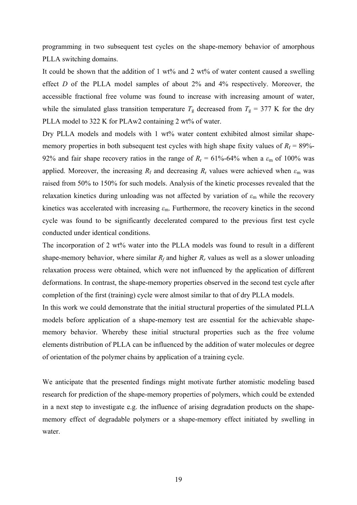programming in two subsequent test cycles on the shape-memory behavior of amorphous PLLA switching domains.

It could be shown that the addition of 1 wt% and 2 wt% of water content caused a swelling effect *D* of the PLLA model samples of about 2% and 4% respectively. Moreover, the accessible fractional free volume was found to increase with increasing amount of water, while the simulated glass transition temperature  $T_g$  decreased from  $T_g = 377$  K for the dry PLLA model to 322 K for PLAw2 containing 2 wt% of water.

Dry PLLA models and models with 1 wt% water content exhibited almost similar shapememory properties in both subsequent test cycles with high shape fixity values of  $R_f = 89\%$ -92% and fair shape recovery ratios in the range of  $R_r = 61\% - 64\%$  when a  $\varepsilon_m$  of 100% was applied. Moreover, the increasing  $R_f$  and decreasing  $R_r$  values were achieved when  $\varepsilon_m$  was raised from 50% to 150% for such models. Analysis of the kinetic processes revealed that the relaxation kinetics during unloading was not affected by variation of  $\varepsilon_m$  while the recovery kinetics was accelerated with increasing *ε*m. Furthermore, the recovery kinetics in the second cycle was found to be significantly decelerated compared to the previous first test cycle conducted under identical conditions.

The incorporation of 2 wt% water into the PLLA models was found to result in a different shape-memory behavior, where similar  $R_f$  and higher  $R_f$  values as well as a slower unloading relaxation process were obtained, which were not influenced by the application of different deformations. In contrast, the shape-memory properties observed in the second test cycle after completion of the first (training) cycle were almost similar to that of dry PLLA models.

In this work we could demonstrate that the initial structural properties of the simulated PLLA models before application of a shape-memory test are essential for the achievable shapememory behavior. Whereby these initial structural properties such as the free volume elements distribution of PLLA can be influenced by the addition of water molecules or degree of orientation of the polymer chains by application of a training cycle.

We anticipate that the presented findings might motivate further atomistic modeling based research for prediction of the shape-memory properties of polymers, which could be extended in a next step to investigate e.g. the influence of arising degradation products on the shapememory effect of degradable polymers or a shape-memory effect initiated by swelling in water.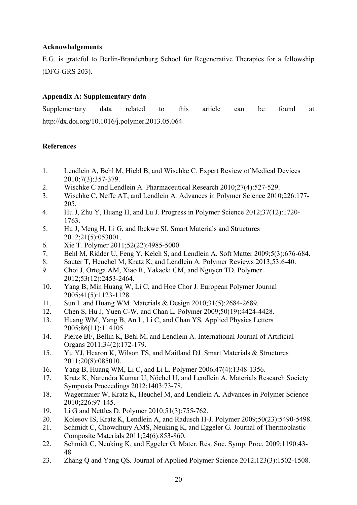# **Acknowledgements**

E.G. is grateful to Berlin-Brandenburg School for Regenerative Therapies for a fellowship (DFG-GRS 203).

# **Appendix A: Supplementary data**

Supplementary data related to this article can be found at http://dx.doi.org/10.1016/j.polymer.2013.05.064.

# **References**

- 1. Lendlein A, Behl M, Hiebl B, and Wischke C*.* Expert Review of Medical Devices 2010;7(3):357-379.
- 2. Wischke C and Lendlein A*.* Pharmaceutical Research 2010;27(4):527-529.
- 3. Wischke C, Neffe AT, and Lendlein A*.* Advances in Polymer Science 2010;226:177- 205.
- 4. Hu J, Zhu Y, Huang H, and Lu J*.* Progress in Polymer Science 2012;37(12):1720- 1763.
- 5. Hu J, Meng H, Li G, and Ibekwe SI*.* Smart Materials and Structures 2012;21(5):053001.
- 6. Xie T*.* Polymer 2011;52(22):4985-5000.
- 7. Behl M, Ridder U, Feng Y, Kelch S, and Lendlein A*.* Soft Matter 2009;5(3):676-684.
- 8. Sauter T, Heuchel M, Kratz K, and Lendlein A*.* Polymer Reviews 2013;53:6-40.
- 9. Choi J, Ortega AM, Xiao R, Yakacki CM, and Nguyen TD*.* Polymer 2012;53(12):2453-2464.
- 10. Yang B, Min Huang W, Li C, and Hoe Chor J*.* European Polymer Journal 2005;41(5):1123-1128.
- 11. Sun L and Huang WM*.* Materials & Design 2010;31(5):2684-2689.
- 12. Chen S, Hu J, Yuen C-W, and Chan L*.* Polymer 2009;50(19):4424-4428.
- 13. Huang WM, Yang B, An L, Li C, and Chan YS*.* Applied Physics Letters 2005;86(11):114105.
- 14. Pierce BF, Bellin K, Behl M, and Lendlein A*.* International Journal of Artificial Organs 2011;34(2):172-179.
- 15. Yu YJ, Hearon K, Wilson TS, and Maitland DJ*.* Smart Materials & Structures 2011;20(8):085010.
- 16. Yang B, Huang WM, Li C, and Li L*.* Polymer 2006;47(4):1348-1356.
- 17. Kratz K, Narendra Kumar U, Nöchel U, and Lendlein A*.* Materials Research Society Symposia Proceedings 2012;1403:73-78.
- 18. Wagermaier W, Kratz K, Heuchel M, and Lendlein A*.* Advances in Polymer Science 2010;226:97-145.
- 19. Li G and Nettles D*.* Polymer 2010;51(3):755-762.
- 20. Kolesov IS, Kratz K, Lendlein A, and Radusch H-J*.* Polymer 2009;50(23):5490-5498.
- 21. Schmidt C, Chowdhury AMS, Neuking K, and Eggeler G*.* Journal of Thermoplastic Composite Materials 2011;24(6):853-860.
- 22. Schmidt C, Neuking K, and Eggeler G*.* Mater. Res. Soc. Symp. Proc. 2009;1190:43- 48
- 23. Zhang Q and Yang QS*.* Journal of Applied Polymer Science 2012;123(3):1502-1508.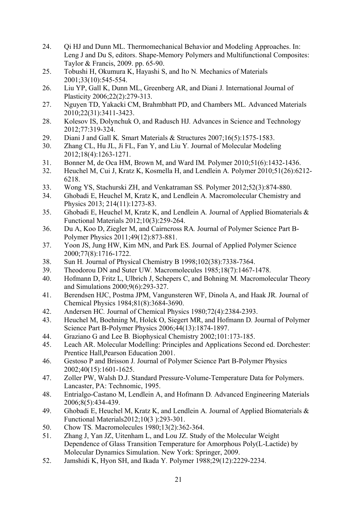- 24. Qi HJ and Dunn ML. Thermomechanical Behavior and Modeling Approaches. In: Leng J and Du S, editors. Shape-Memory Polymers and Multifunctional Composites: Taylor & Francis, 2009. pp. 65-90.
- 25. Tobushi H, Okumura K, Hayashi S, and Ito N*.* Mechanics of Materials 2001;33(10):545-554.
- 26. Liu YP, Gall K, Dunn ML, Greenberg AR, and Diani J*.* International Journal of Plasticity 2006;22(2):279-313.
- 27. Nguyen TD, Yakacki CM, Brahmbhatt PD, and Chambers ML*.* Advanced Materials 2010;22(31):3411-3423.
- 28. Kolesov IS, Dolynchuk O, and Radusch HJ*.* Advances in Science and Technology 2012;77:319-324.
- 29. Diani J and Gall K*.* Smart Materials & Structures 2007;16(5):1575-1583.
- 30. Zhang CL, Hu JL, Ji FL, Fan Y, and Liu Y*.* Journal of Molecular Modeling 2012;18(4):1263-1271.
- 31. Bonner M, de Oca HM, Brown M, and Ward IM*.* Polymer 2010;51(6):1432-1436.
- 32. Heuchel M, Cui J, Kratz K, Kosmella H, and Lendlein A*.* Polymer 2010;51(26):6212- 6218.
- 33. Wong YS, Stachurski ZH, and Venkatraman SS*.* Polymer 2012;52(3):874-880.
- 34. Ghobadi E, Heuchel M, Kratz K, and Lendlein A*.* Macromolecular Chemistry and Physics 2013; 214(11):1273-83.
- 35. Ghobadi E, Heuchel M, Kratz K, and Lendlein A*.* Journal of Applied Biomaterials & Functional Materials 2012;10(3):259-264.
- 36. Du A, Koo D, Ziegler M, and Cairncross RA*.* Journal of Polymer Science Part B-Polymer Physics 2011;49(12):873-881.
- 37. Yoon JS, Jung HW, Kim MN, and Park ES*.* Journal of Applied Polymer Science 2000;77(8):1716-1722.
- 38. Sun H*.* Journal of Physical Chemistry B 1998;102(38):7338-7364.
- 39. Theodorou DN and Suter UW*.* Macromolecules 1985;18(7):1467-1478.
- 40. Hofmann D, Fritz L, Ulbrich J, Schepers C, and Bohning M*.* Macromolecular Theory and Simulations 2000;9(6):293-327.
- 41. Berendsen HJC, Postma JPM, Vangunsteren WF, Dinola A, and Haak JR*.* Journal of Chemical Physics 1984;81(8):3684-3690.
- 42. Andersen HC*.* Journal of Chemical Physics 1980;72(4):2384-2393.
- 43. Heuchel M, Boehning M, Holck O, Siegert MR, and Hofmann D*.* Journal of Polymer Science Part B-Polymer Physics 2006;44(13):1874-1897.
- 44. Graziano G and Lee B*.* Biophysical Chemistry 2002;101:173-185.
- 45. Leach AR. Molecular Modelling: Principles and Applications Second ed. Dorchester: Prentice Hall,Pearson Education 2001.
- 46. Gestoso P and Brisson J*.* Journal of Polymer Science Part B-Polymer Physics 2002;40(15):1601-1625.
- 47. Zoller PW, Walsh D.J. Standard Pressure-Volume-Temperature Data for Polymers. Lancaster, PA: Technomic, 1995.
- 48. Entrialgo-Castano M, Lendlein A, and Hofmann D*.* Advanced Engineering Materials 2006;8(5):434-439.
- 49. Ghobadi E, Heuchel M, Kratz K, and Lendlein A*.* Journal of Applied Biomaterials & Functional Materials2012;10(3 ):293-301.
- 50. Chow TS*.* Macromolecules 1980;13(2):362-364.
- 51. Zhang J, Yan JZ, Uitenham L, and Lou JZ. Study of the Molecular Weight Dependence of Glass Transition Temperature for Amorphous Poly(L-Lactide) by Molecular Dynamics Simulation. New York: Springer, 2009.
- 52. Jamshidi K, Hyon SH, and Ikada Y*.* Polymer 1988;29(12):2229-2234.